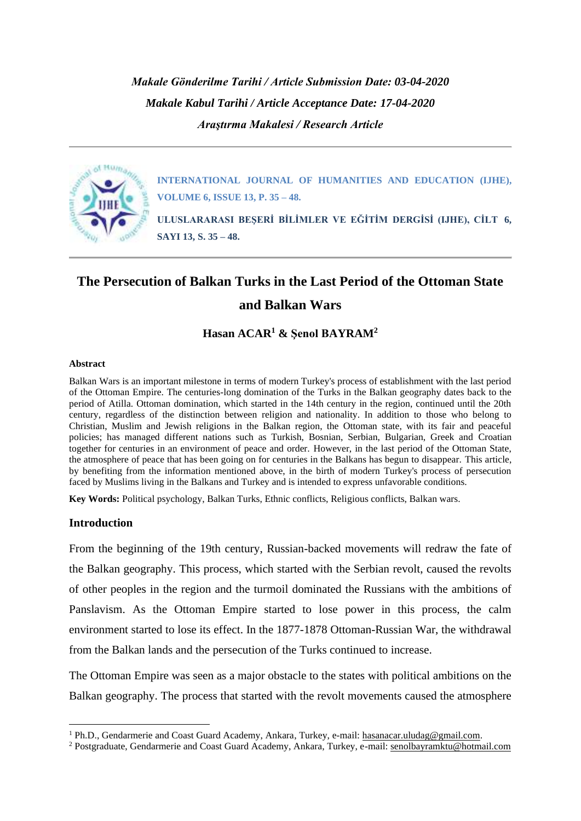*Makale Gönderilme Tarihi / Article Submission Date: 03-04-2020 Makale Kabul Tarihi / Article Acceptance Date: 17-04-2020 Araştırma Makalesi / Research Article*



**INTERNATIONAL JOURNAL OF HUMANITIES AND EDUCATION (IJHE), VOLUME 6, ISSUE 13, P. 35 – 48.**

**ULUSLARARASI BEŞERİ BİLİMLER VE EĞİTİM DERGİSİ (IJHE), CİLT 6, SAYI 13, S. 35 – 48.**

# **The Persecution of Balkan Turks in the Last Period of the Ottoman State and Balkan Wars**

# **Hasan ACAR<sup>1</sup> & Şenol BAYRAM<sup>2</sup>**

#### **Abstract**

Balkan Wars is an important milestone in terms of modern Turkey's process of establishment with the last period of the Ottoman Empire. The centuries-long domination of the Turks in the Balkan geography dates back to the period of Atilla. Ottoman domination, which started in the 14th century in the region, continued until the 20th century, regardless of the distinction between religion and nationality. In addition to those who belong to Christian, Muslim and Jewish religions in the Balkan region, the Ottoman state, with its fair and peaceful policies; has managed different nations such as Turkish, Bosnian, Serbian, Bulgarian, Greek and Croatian together for centuries in an environment of peace and order. However, in the last period of the Ottoman State, the atmosphere of peace that has been going on for centuries in the Balkans has begun to disappear. This article, by benefiting from the information mentioned above, in the birth of modern Turkey's process of persecution faced by Muslims living in the Balkans and Turkey and is intended to express unfavorable conditions.

**Key Words:** Political psychology, Balkan Turks, Ethnic conflicts, Religious conflicts, Balkan wars.

# **Introduction**

From the beginning of the 19th century, Russian-backed movements will redraw the fate of the Balkan geography. This process, which started with the Serbian revolt, caused the revolts of other peoples in the region and the turmoil dominated the Russians with the ambitions of Panslavism. As the Ottoman Empire started to lose power in this process, the calm environment started to lose its effect. In the 1877-1878 Ottoman-Russian War, the withdrawal from the Balkan lands and the persecution of the Turks continued to increase.

The Ottoman Empire was seen as a major obstacle to the states with political ambitions on the Balkan geography. The process that started with the revolt movements caused the atmosphere

<sup>&</sup>lt;sup>1</sup> Ph.D., Gendarmerie and Coast Guard Academy, Ankara, Turkey, e-mail: [hasanacar.uludag@gmail.com.](mailto:hasanacar.uludag@gmail.com)

<sup>2</sup> Postgraduate, Gendarmerie and Coast Guard Academy, Ankara, Turkey, e-mail: [senolbayramktu@hotmail.com](mailto:senolbayramktu@hotmail.com)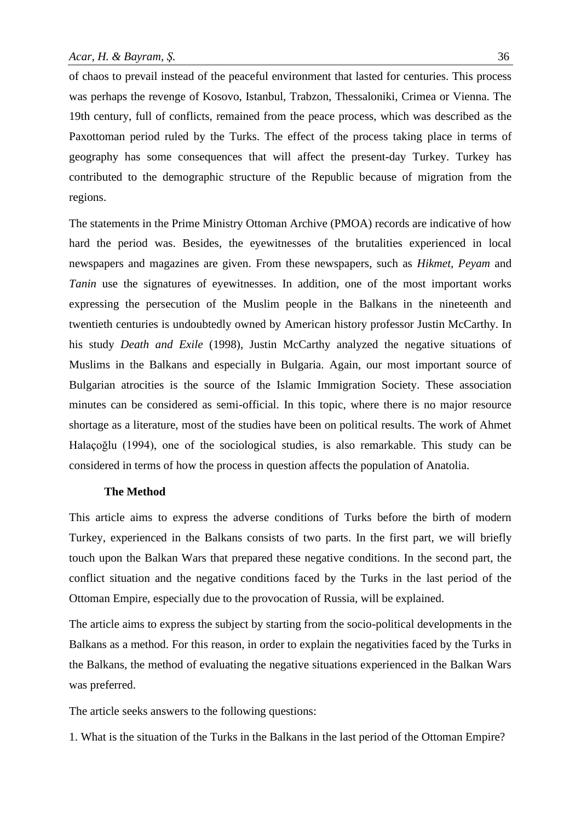of chaos to prevail instead of the peaceful environment that lasted for centuries. This process was perhaps the revenge of Kosovo, Istanbul, Trabzon, Thessaloniki, Crimea or Vienna. The 19th century, full of conflicts, remained from the peace process, which was described as the Paxottoman period ruled by the Turks. The effect of the process taking place in terms of geography has some consequences that will affect the present-day Turkey. Turkey has contributed to the demographic structure of the Republic because of migration from the regions.

The statements in the Prime Ministry Ottoman Archive (PMOA) records are indicative of how hard the period was. Besides, the eyewitnesses of the brutalities experienced in local newspapers and magazines are given. From these newspapers, such as *Hikmet, Peyam* and *Tanin* use the signatures of eyewitnesses. In addition, one of the most important works expressing the persecution of the Muslim people in the Balkans in the nineteenth and twentieth centuries is undoubtedly owned by American history professor Justin McCarthy. In his study *Death and Exile* (1998), Justin McCarthy analyzed the negative situations of Muslims in the Balkans and especially in Bulgaria. Again, our most important source of Bulgarian atrocities is the source of the Islamic Immigration Society. These association minutes can be considered as semi-official. In this topic, where there is no major resource shortage as a literature, most of the studies have been on political results. The work of Ahmet Halaçoğlu (1994), one of the sociological studies, is also remarkable. This study can be considered in terms of how the process in question affects the population of Anatolia.

#### **The Method**

This article aims to express the adverse conditions of Turks before the birth of modern Turkey, experienced in the Balkans consists of two parts. In the first part, we will briefly touch upon the Balkan Wars that prepared these negative conditions. In the second part, the conflict situation and the negative conditions faced by the Turks in the last period of the Ottoman Empire, especially due to the provocation of Russia, will be explained.

The article aims to express the subject by starting from the socio-political developments in the Balkans as a method. For this reason, in order to explain the negativities faced by the Turks in the Balkans, the method of evaluating the negative situations experienced in the Balkan Wars was preferred.

The article seeks answers to the following questions:

1. What is the situation of the Turks in the Balkans in the last period of the Ottoman Empire?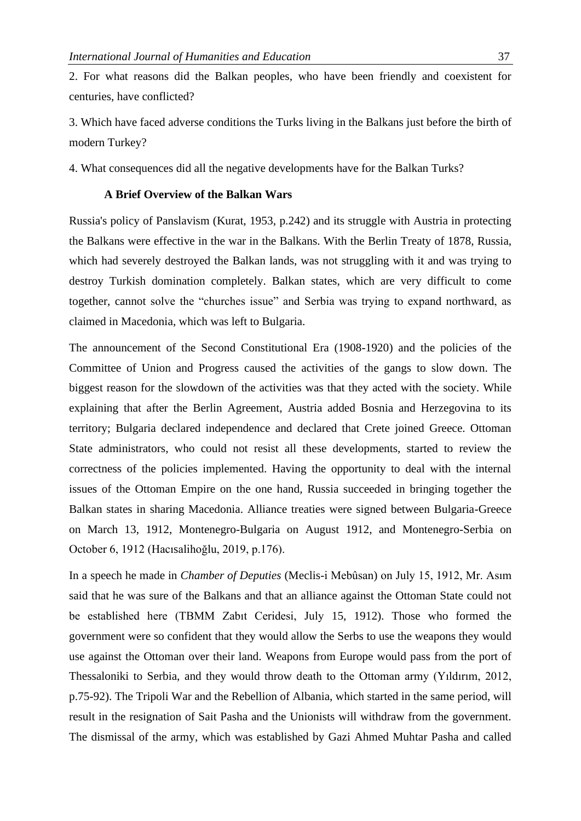2. For what reasons did the Balkan peoples, who have been friendly and coexistent for centuries, have conflicted?

3. Which have faced adverse conditions the Turks living in the Balkans just before the birth of modern Turkey?

4. What consequences did all the negative developments have for the Balkan Turks?

### **A Brief Overview of the Balkan Wars**

Russia's policy of Panslavism (Kurat, 1953, p.242) and its struggle with Austria in protecting the Balkans were effective in the war in the Balkans. With the Berlin Treaty of 1878, Russia, which had severely destroyed the Balkan lands, was not struggling with it and was trying to destroy Turkish domination completely. Balkan states, which are very difficult to come together, cannot solve the "churches issue" and Serbia was trying to expand northward, as claimed in Macedonia, which was left to Bulgaria.

The announcement of the Second Constitutional Era (1908-1920) and the policies of the Committee of Union and Progress caused the activities of the gangs to slow down. The biggest reason for the slowdown of the activities was that they acted with the society. While explaining that after the Berlin Agreement, Austria added Bosnia and Herzegovina to its territory; Bulgaria declared independence and declared that Crete joined Greece. Ottoman State administrators, who could not resist all these developments, started to review the correctness of the policies implemented. Having the opportunity to deal with the internal issues of the Ottoman Empire on the one hand, Russia succeeded in bringing together the Balkan states in sharing Macedonia. Alliance treaties were signed between Bulgaria-Greece on March 13, 1912, Montenegro-Bulgaria on August 1912, and Montenegro-Serbia on October 6, 1912 (Hacısalihoğlu, 2019, p.176).

In a speech he made in *Chamber of Deputies* (Meclis-i Mebûsan) on July 15, 1912, Mr. Asım said that he was sure of the Balkans and that an alliance against the Ottoman State could not be established here (TBMM Zabıt Ceridesi, July 15, 1912). Those who formed the government were so confident that they would allow the Serbs to use the weapons they would use against the Ottoman over their land. Weapons from Europe would pass from the port of Thessaloniki to Serbia, and they would throw death to the Ottoman army (Yıldırım, 2012, p.75-92). The Tripoli War and the Rebellion of Albania, which started in the same period, will result in the resignation of Sait Pasha and the Unionists will withdraw from the government. The dismissal of the army, which was established by Gazi Ahmed Muhtar Pasha and called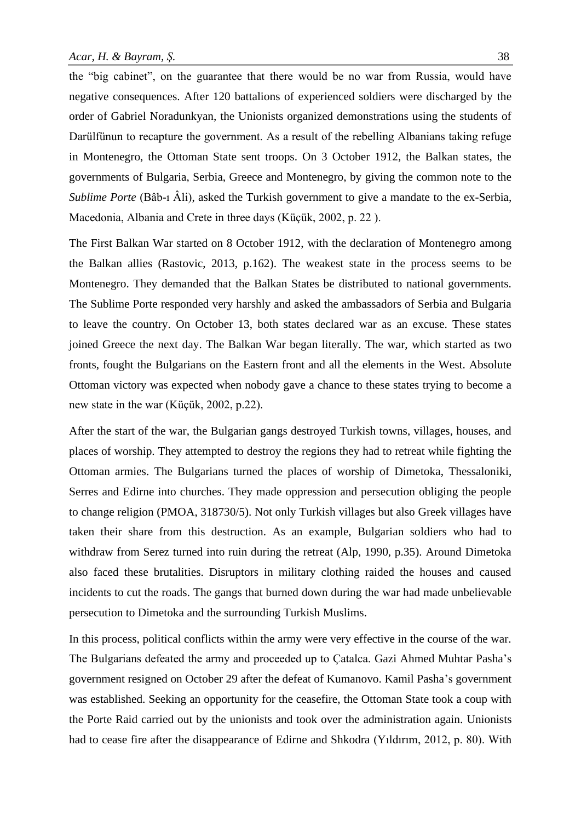the "big cabinet", on the guarantee that there would be no war from Russia, would have negative consequences. After 120 battalions of experienced soldiers were discharged by the order of Gabriel Noradunkyan, the Unionists organized demonstrations using the students of Darülfünun to recapture the government. As a result of the rebelling Albanians taking refuge in Montenegro, the Ottoman State sent troops. On 3 October 1912, the Balkan states, the governments of Bulgaria, Serbia, Greece and Montenegro, by giving the common note to the *Sublime Porte* (Bâb-ı Âli), asked the Turkish government to give a mandate to the ex-Serbia, Macedonia, Albania and Crete in three days (Küçük, 2002, p. 22 ).

The First Balkan War started on 8 October 1912, with the declaration of Montenegro among the Balkan allies (Rastovic, 2013, p.162). The weakest state in the process seems to be Montenegro. They demanded that the Balkan States be distributed to national governments. The Sublime Porte responded very harshly and asked the ambassadors of Serbia and Bulgaria to leave the country. On October 13, both states declared war as an excuse. These states joined Greece the next day. The Balkan War began literally. The war, which started as two fronts, fought the Bulgarians on the Eastern front and all the elements in the West. Absolute Ottoman victory was expected when nobody gave a chance to these states trying to become a new state in the war (Küçük, 2002, p.22).

After the start of the war, the Bulgarian gangs destroyed Turkish towns, villages, houses, and places of worship. They attempted to destroy the regions they had to retreat while fighting the Ottoman armies. The Bulgarians turned the places of worship of Dimetoka, Thessaloniki, Serres and Edirne into churches. They made oppression and persecution obliging the people to change religion (PMOA, 318730/5). Not only Turkish villages but also Greek villages have taken their share from this destruction. As an example, Bulgarian soldiers who had to withdraw from Serez turned into ruin during the retreat (Alp, 1990, p.35). Around Dimetoka also faced these brutalities. Disruptors in military clothing raided the houses and caused incidents to cut the roads. The gangs that burned down during the war had made unbelievable persecution to Dimetoka and the surrounding Turkish Muslims.

In this process, political conflicts within the army were very effective in the course of the war. The Bulgarians defeated the army and proceeded up to Çatalca. Gazi Ahmed Muhtar Pasha's government resigned on October 29 after the defeat of Kumanovo. Kamil Pasha's government was established. Seeking an opportunity for the ceasefire, the Ottoman State took a coup with the Porte Raid carried out by the unionists and took over the administration again. Unionists had to cease fire after the disappearance of Edirne and Shkodra (Yıldırım, 2012, p. 80). With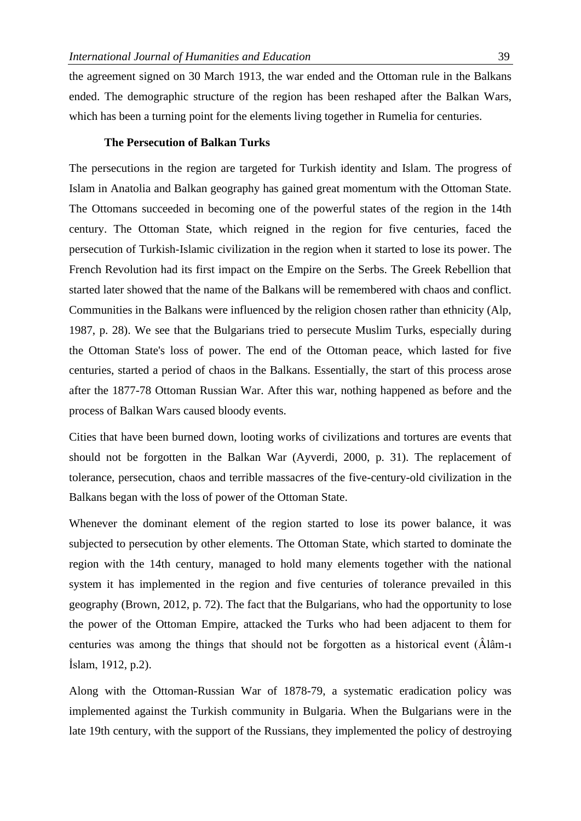the agreement signed on 30 March 1913, the war ended and the Ottoman rule in the Balkans ended. The demographic structure of the region has been reshaped after the Balkan Wars, which has been a turning point for the elements living together in Rumelia for centuries.

#### **The Persecution of Balkan Turks**

The persecutions in the region are targeted for Turkish identity and Islam. The progress of Islam in Anatolia and Balkan geography has gained great momentum with the Ottoman State. The Ottomans succeeded in becoming one of the powerful states of the region in the 14th century. The Ottoman State, which reigned in the region for five centuries, faced the persecution of Turkish-Islamic civilization in the region when it started to lose its power. The French Revolution had its first impact on the Empire on the Serbs. The Greek Rebellion that started later showed that the name of the Balkans will be remembered with chaos and conflict. Communities in the Balkans were influenced by the religion chosen rather than ethnicity (Alp, 1987, p. 28). We see that the Bulgarians tried to persecute Muslim Turks, especially during the Ottoman State's loss of power. The end of the Ottoman peace, which lasted for five centuries, started a period of chaos in the Balkans. Essentially, the start of this process arose after the 1877-78 Ottoman Russian War. After this war, nothing happened as before and the process of Balkan Wars caused bloody events.

Cities that have been burned down, looting works of civilizations and tortures are events that should not be forgotten in the Balkan War (Ayverdi, 2000, p. 31). The replacement of tolerance, persecution, chaos and terrible massacres of the five-century-old civilization in the Balkans began with the loss of power of the Ottoman State.

Whenever the dominant element of the region started to lose its power balance, it was subjected to persecution by other elements. The Ottoman State, which started to dominate the region with the 14th century, managed to hold many elements together with the national system it has implemented in the region and five centuries of tolerance prevailed in this geography (Brown, 2012, p. 72). The fact that the Bulgarians, who had the opportunity to lose the power of the Ottoman Empire, attacked the Turks who had been adjacent to them for centuries was among the things that should not be forgotten as a historical event (Âlâm-ı İslam, 1912, p.2).

Along with the Ottoman-Russian War of 1878-79, a systematic eradication policy was implemented against the Turkish community in Bulgaria. When the Bulgarians were in the late 19th century, with the support of the Russians, they implemented the policy of destroying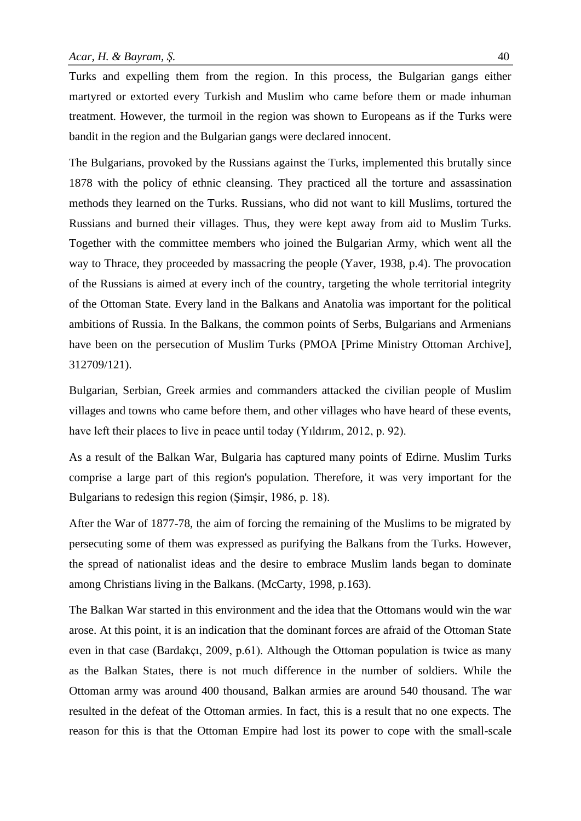Turks and expelling them from the region. In this process, the Bulgarian gangs either martyred or extorted every Turkish and Muslim who came before them or made inhuman treatment. However, the turmoil in the region was shown to Europeans as if the Turks were bandit in the region and the Bulgarian gangs were declared innocent.

The Bulgarians, provoked by the Russians against the Turks, implemented this brutally since 1878 with the policy of ethnic cleansing. They practiced all the torture and assassination methods they learned on the Turks. Russians, who did not want to kill Muslims, tortured the Russians and burned their villages. Thus, they were kept away from aid to Muslim Turks. Together with the committee members who joined the Bulgarian Army, which went all the way to Thrace, they proceeded by massacring the people (Yaver, 1938, p.4). The provocation of the Russians is aimed at every inch of the country, targeting the whole territorial integrity of the Ottoman State. Every land in the Balkans and Anatolia was important for the political ambitions of Russia. In the Balkans, the common points of Serbs, Bulgarians and Armenians have been on the persecution of Muslim Turks (PMOA [Prime Ministry Ottoman Archive], 312709/121).

Bulgarian, Serbian, Greek armies and commanders attacked the civilian people of Muslim villages and towns who came before them, and other villages who have heard of these events, have left their places to live in peace until today (Yıldırım, 2012, p. 92).

As a result of the Balkan War, Bulgaria has captured many points of Edirne. Muslim Turks comprise a large part of this region's population. Therefore, it was very important for the Bulgarians to redesign this region (Şimşir, 1986, p. 18).

After the War of 1877-78, the aim of forcing the remaining of the Muslims to be migrated by persecuting some of them was expressed as purifying the Balkans from the Turks. However, the spread of nationalist ideas and the desire to embrace Muslim lands began to dominate among Christians living in the Balkans. (McCarty, 1998, p.163).

The Balkan War started in this environment and the idea that the Ottomans would win the war arose. At this point, it is an indication that the dominant forces are afraid of the Ottoman State even in that case (Bardakçı, 2009, p.61). Although the Ottoman population is twice as many as the Balkan States, there is not much difference in the number of soldiers. While the Ottoman army was around 400 thousand, Balkan armies are around 540 thousand. The war resulted in the defeat of the Ottoman armies. In fact, this is a result that no one expects. The reason for this is that the Ottoman Empire had lost its power to cope with the small-scale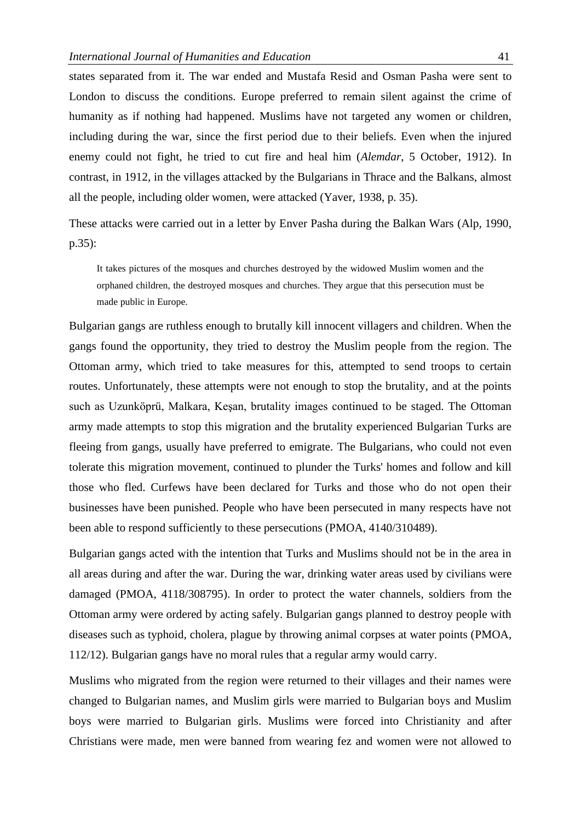states separated from it. The war ended and Mustafa Resid and Osman Pasha were sent to London to discuss the conditions. Europe preferred to remain silent against the crime of humanity as if nothing had happened. Muslims have not targeted any women or children, including during the war, since the first period due to their beliefs. Even when the injured enemy could not fight, he tried to cut fire and heal him (*Alemdar*, 5 October, 1912). In contrast, in 1912, in the villages attacked by the Bulgarians in Thrace and the Balkans, almost all the people, including older women, were attacked (Yaver, 1938, p. 35).

These attacks were carried out in a letter by Enver Pasha during the Balkan Wars (Alp, 1990, p.35):

It takes pictures of the mosques and churches destroyed by the widowed Muslim women and the orphaned children, the destroyed mosques and churches. They argue that this persecution must be made public in Europe.

Bulgarian gangs are ruthless enough to brutally kill innocent villagers and children. When the gangs found the opportunity, they tried to destroy the Muslim people from the region. The Ottoman army, which tried to take measures for this, attempted to send troops to certain routes. Unfortunately, these attempts were not enough to stop the brutality, and at the points such as Uzunköprü, Malkara, Keşan, brutality images continued to be staged. The Ottoman army made attempts to stop this migration and the brutality experienced Bulgarian Turks are fleeing from gangs, usually have preferred to emigrate. The Bulgarians, who could not even tolerate this migration movement, continued to plunder the Turks' homes and follow and kill those who fled. Curfews have been declared for Turks and those who do not open their businesses have been punished. People who have been persecuted in many respects have not been able to respond sufficiently to these persecutions (PMOA, 4140/310489).

Bulgarian gangs acted with the intention that Turks and Muslims should not be in the area in all areas during and after the war. During the war, drinking water areas used by civilians were damaged (PMOA, 4118/308795). In order to protect the water channels, soldiers from the Ottoman army were ordered by acting safely. Bulgarian gangs planned to destroy people with diseases such as typhoid, cholera, plague by throwing animal corpses at water points (PMOA, 112/12). Bulgarian gangs have no moral rules that a regular army would carry.

Muslims who migrated from the region were returned to their villages and their names were changed to Bulgarian names, and Muslim girls were married to Bulgarian boys and Muslim boys were married to Bulgarian girls. Muslims were forced into Christianity and after Christians were made, men were banned from wearing fez and women were not allowed to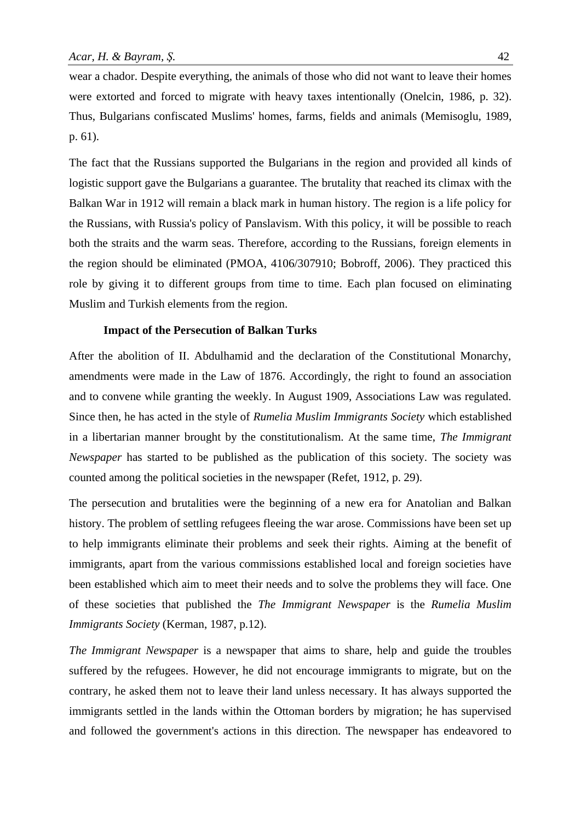wear a chador. Despite everything, the animals of those who did not want to leave their homes were extorted and forced to migrate with heavy taxes intentionally (Onelcin, 1986, p. 32). Thus, Bulgarians confiscated Muslims' homes, farms, fields and animals (Memisoglu, 1989, p. 61).

The fact that the Russians supported the Bulgarians in the region and provided all kinds of logistic support gave the Bulgarians a guarantee. The brutality that reached its climax with the Balkan War in 1912 will remain a black mark in human history. The region is a life policy for the Russians, with Russia's policy of Panslavism. With this policy, it will be possible to reach both the straits and the warm seas. Therefore, according to the Russians, foreign elements in the region should be eliminated (PMOA, 4106/307910; Bobroff, 2006). They practiced this role by giving it to different groups from time to time. Each plan focused on eliminating Muslim and Turkish elements from the region.

#### **Impact of the Persecution of Balkan Turks**

After the abolition of II. Abdulhamid and the declaration of the Constitutional Monarchy, amendments were made in the Law of 1876. Accordingly, the right to found an association and to convene while granting the weekly. In August 1909, Associations Law was regulated. Since then, he has acted in the style of *Rumelia Muslim Immigrants Society* which established in a libertarian manner brought by the constitutionalism. At the same time, *The Immigrant Newspaper* has started to be published as the publication of this society. The society was counted among the political societies in the newspaper (Refet, 1912, p. 29).

The persecution and brutalities were the beginning of a new era for Anatolian and Balkan history. The problem of settling refugees fleeing the war arose. Commissions have been set up to help immigrants eliminate their problems and seek their rights. Aiming at the benefit of immigrants, apart from the various commissions established local and foreign societies have been established which aim to meet their needs and to solve the problems they will face. One of these societies that published the *The Immigrant Newspaper* is the *Rumelia Muslim Immigrants Society* (Kerman, 1987, p.12).

*The Immigrant Newspaper* is a newspaper that aims to share, help and guide the troubles suffered by the refugees. However, he did not encourage immigrants to migrate, but on the contrary, he asked them not to leave their land unless necessary. It has always supported the immigrants settled in the lands within the Ottoman borders by migration; he has supervised and followed the government's actions in this direction. The newspaper has endeavored to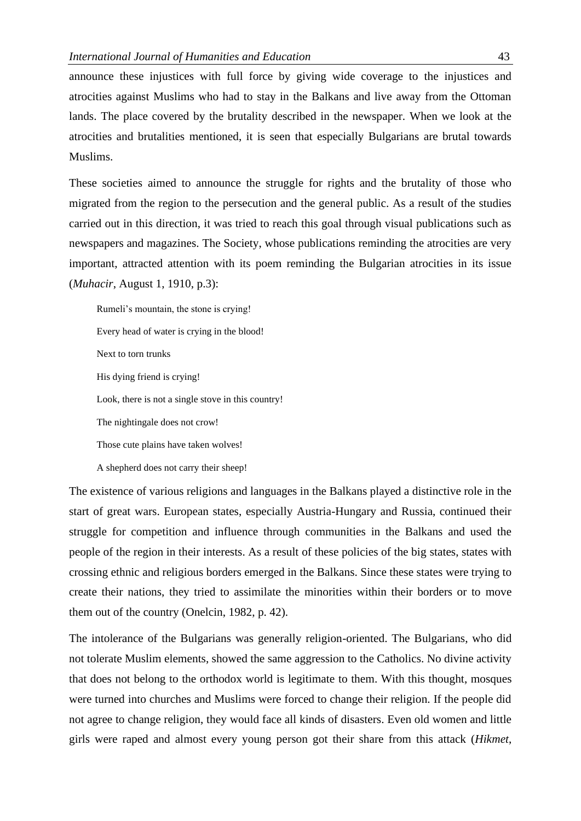announce these injustices with full force by giving wide coverage to the injustices and atrocities against Muslims who had to stay in the Balkans and live away from the Ottoman lands. The place covered by the brutality described in the newspaper. When we look at the atrocities and brutalities mentioned, it is seen that especially Bulgarians are brutal towards Muslims.

These societies aimed to announce the struggle for rights and the brutality of those who migrated from the region to the persecution and the general public. As a result of the studies carried out in this direction, it was tried to reach this goal through visual publications such as newspapers and magazines. The Society, whose publications reminding the atrocities are very important, attracted attention with its poem reminding the Bulgarian atrocities in its issue (*Muhacir*, August 1, 1910, p.3):

Rumeli's mountain, the stone is crying! Every head of water is crying in the blood! Next to torn trunks His dying friend is crying! Look, there is not a single stove in this country! The nightingale does not crow! Those cute plains have taken wolves! A shepherd does not carry their sheep!

The existence of various religions and languages in the Balkans played a distinctive role in the start of great wars. European states, especially Austria-Hungary and Russia, continued their struggle for competition and influence through communities in the Balkans and used the people of the region in their interests. As a result of these policies of the big states, states with crossing ethnic and religious borders emerged in the Balkans. Since these states were trying to create their nations, they tried to assimilate the minorities within their borders or to move them out of the country (Onelcin, 1982, p. 42).

The intolerance of the Bulgarians was generally religion-oriented. The Bulgarians, who did not tolerate Muslim elements, showed the same aggression to the Catholics. No divine activity that does not belong to the orthodox world is legitimate to them. With this thought, mosques were turned into churches and Muslims were forced to change their religion. If the people did not agree to change religion, they would face all kinds of disasters. Even old women and little girls were raped and almost every young person got their share from this attack (*Hikmet*,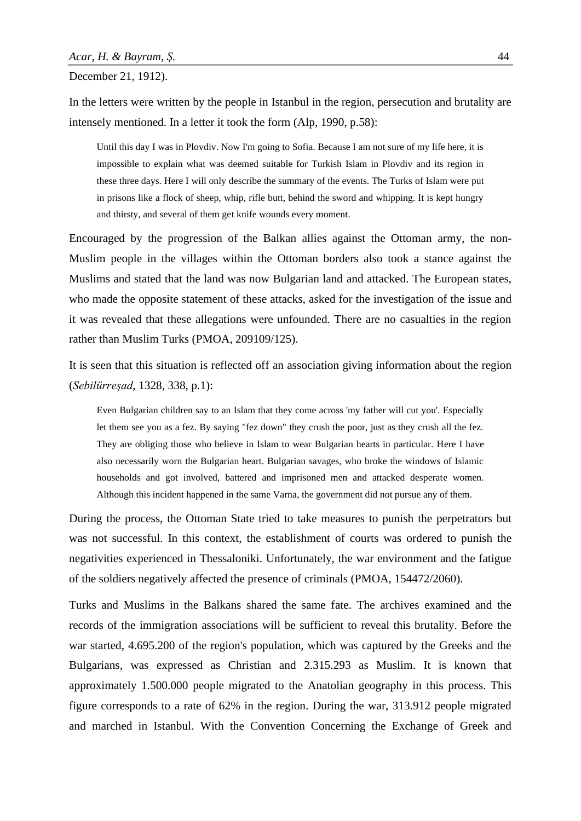December 21, 1912).

In the letters were written by the people in Istanbul in the region, persecution and brutality are intensely mentioned. In a letter it took the form (Alp, 1990, p.58):

Until this day I was in Plovdiv. Now I'm going to Sofia. Because I am not sure of my life here, it is impossible to explain what was deemed suitable for Turkish Islam in Plovdiv and its region in these three days. Here I will only describe the summary of the events. The Turks of Islam were put in prisons like a flock of sheep, whip, rifle butt, behind the sword and whipping. It is kept hungry and thirsty, and several of them get knife wounds every moment.

Encouraged by the progression of the Balkan allies against the Ottoman army, the non-Muslim people in the villages within the Ottoman borders also took a stance against the Muslims and stated that the land was now Bulgarian land and attacked. The European states, who made the opposite statement of these attacks, asked for the investigation of the issue and it was revealed that these allegations were unfounded. There are no casualties in the region rather than Muslim Turks (PMOA, 209109/125).

It is seen that this situation is reflected off an association giving information about the region (*Sebilürreşad*, 1328, 338, p.1):

Even Bulgarian children say to an Islam that they come across 'my father will cut you'. Especially let them see you as a fez. By saying "fez down" they crush the poor, just as they crush all the fez. They are obliging those who believe in Islam to wear Bulgarian hearts in particular. Here I have also necessarily worn the Bulgarian heart. Bulgarian savages, who broke the windows of Islamic households and got involved, battered and imprisoned men and attacked desperate women. Although this incident happened in the same Varna, the government did not pursue any of them.

During the process, the Ottoman State tried to take measures to punish the perpetrators but was not successful. In this context, the establishment of courts was ordered to punish the negativities experienced in Thessaloniki. Unfortunately, the war environment and the fatigue of the soldiers negatively affected the presence of criminals (PMOA, 154472/2060).

Turks and Muslims in the Balkans shared the same fate. The archives examined and the records of the immigration associations will be sufficient to reveal this brutality. Before the war started, 4.695.200 of the region's population, which was captured by the Greeks and the Bulgarians, was expressed as Christian and 2.315.293 as Muslim. It is known that approximately 1.500.000 people migrated to the Anatolian geography in this process. This figure corresponds to a rate of 62% in the region. During the war, 313.912 people migrated and marched in Istanbul. With the Convention Concerning the Exchange of Greek and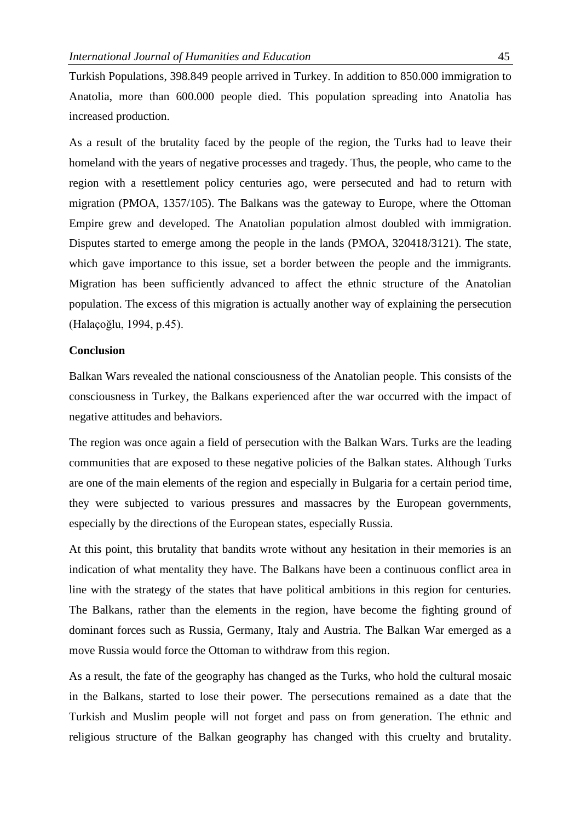Turkish Populations, 398.849 people arrived in Turkey. In addition to 850.000 immigration to Anatolia, more than 600.000 people died. This population spreading into Anatolia has increased production.

As a result of the brutality faced by the people of the region, the Turks had to leave their homeland with the years of negative processes and tragedy. Thus, the people, who came to the region with a resettlement policy centuries ago, were persecuted and had to return with migration (PMOA, 1357/105). The Balkans was the gateway to Europe, where the Ottoman Empire grew and developed. The Anatolian population almost doubled with immigration. Disputes started to emerge among the people in the lands (PMOA, 320418/3121). The state, which gave importance to this issue, set a border between the people and the immigrants. Migration has been sufficiently advanced to affect the ethnic structure of the Anatolian population. The excess of this migration is actually another way of explaining the persecution (Halaçoğlu, 1994, p.45).

# **Conclusion**

Balkan Wars revealed the national consciousness of the Anatolian people. This consists of the consciousness in Turkey, the Balkans experienced after the war occurred with the impact of negative attitudes and behaviors.

The region was once again a field of persecution with the Balkan Wars. Turks are the leading communities that are exposed to these negative policies of the Balkan states. Although Turks are one of the main elements of the region and especially in Bulgaria for a certain period time, they were subjected to various pressures and massacres by the European governments, especially by the directions of the European states, especially Russia.

At this point, this brutality that bandits wrote without any hesitation in their memories is an indication of what mentality they have. The Balkans have been a continuous conflict area in line with the strategy of the states that have political ambitions in this region for centuries. The Balkans, rather than the elements in the region, have become the fighting ground of dominant forces such as Russia, Germany, Italy and Austria. The Balkan War emerged as a move Russia would force the Ottoman to withdraw from this region.

As a result, the fate of the geography has changed as the Turks, who hold the cultural mosaic in the Balkans, started to lose their power. The persecutions remained as a date that the Turkish and Muslim people will not forget and pass on from generation. The ethnic and religious structure of the Balkan geography has changed with this cruelty and brutality.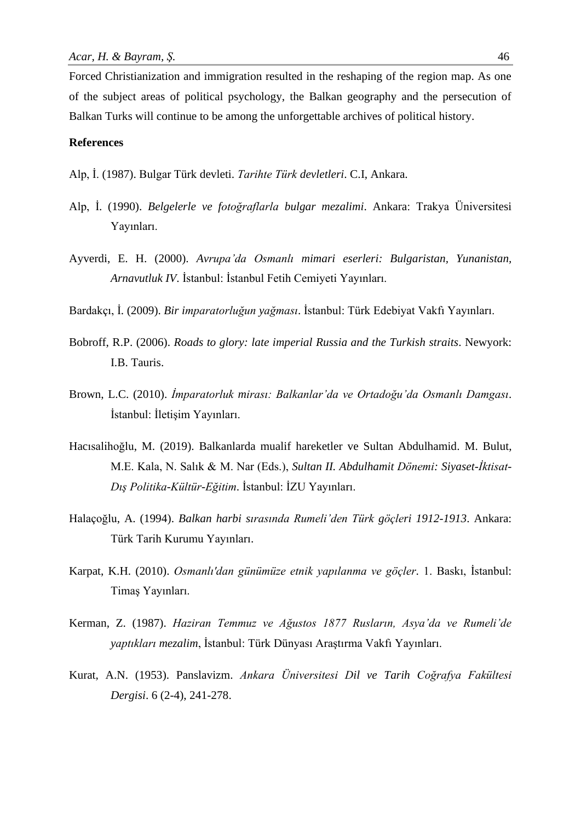Forced Christianization and immigration resulted in the reshaping of the region map. As one of the subject areas of political psychology, the Balkan geography and the persecution of Balkan Turks will continue to be among the unforgettable archives of political history.

# **References**

Alp, İ. (1987). Bulgar Türk devleti. *Tarihte Türk devletleri*. C.I, Ankara.

- Alp, İ. (1990). *Belgelerle ve fotoğraflarla bulgar mezalimi*. Ankara: Trakya Üniversitesi Yayınları.
- Ayverdi, E. H. (2000). *Avrupa'da Osmanlı mimari eserleri: Bulgaristan, Yunanistan, Arnavutluk IV*. İstanbul: İstanbul Fetih Cemiyeti Yayınları.
- Bardakçı, İ. (2009). *Bir imparatorluğun yağması*. İstanbul: Türk Edebiyat Vakfı Yayınları.
- Bobroff, R.P. (2006). *Roads to glory: late imperial Russia and the Turkish straits*. Newyork: I.B. Tauris.
- Brown, L.C. (2010). *İmparatorluk mirası: Balkanlar'da ve Ortadoğu'da Osmanlı Damgası*. İstanbul: İletişim Yayınları.
- Hacısalihoğlu, M. (2019). Balkanlarda mualif hareketler ve Sultan Abdulhamid. M. Bulut, M.E. Kala, N. Salık & M. Nar (Eds.), *Sultan II. Abdulhamit Dönemi: Siyaset-İktisat-Dış Politika-Kültür-Eğitim*. İstanbul: İZU Yayınları.
- Halaçoğlu, A. (1994). *Balkan harbi sırasında Rumeli'den Türk göçleri 1912-1913*. Ankara: Türk Tarih Kurumu Yayınları.
- Karpat, K.H. (2010). *Osmanlı'dan günümüze etnik yapılanma ve göçler*. 1. Baskı, İstanbul: Timaş Yayınları.
- Kerman, Z. (1987). *Haziran Temmuz ve Ağustos 1877 Rusların, Asya'da ve Rumeli'de yaptıkları mezalim*, İstanbul: Türk Dünyası Araştırma Vakfı Yayınları.
- Kurat, A.N. (1953). Panslavizm. *Ankara Üniversitesi Dil ve Tarih Coğrafya Fakültesi Dergisi*. 6 (2-4), 241-278.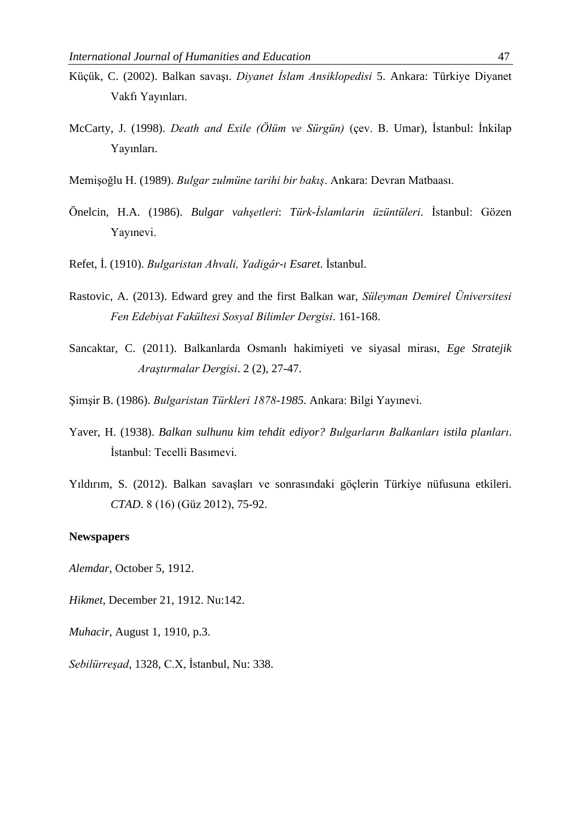- Küçük, C. (2002). Balkan savaşı. *Diyanet İslam Ansiklopedisi* 5. Ankara: Türkiye Diyanet Vakfı Yayınları.
- McCarty, J. (1998). *Death and Exile (Ölüm ve Sürgün)* (çev. B. Umar), İstanbul: İnkilap Yayınları.
- Memişoğlu H. (1989). *Bulgar zulmüne tarihi bir bakış*. Ankara: Devran Matbaası.
- Önelcin, H.A. (1986). *Bulgar vahşetleri*: *Türk-İslamlarin üzüntüleri*. İstanbul: Gözen Yayınevi.
- Refet, İ. (1910). *Bulgaristan Ahvali, Yadigâr-ı Esaret*. İstanbul.
- Rastovic, A. (2013). Edward grey and the first Balkan war, *Süleyman Demirel Üniversitesi Fen Edebiyat Fakültesi Sosyal Bilimler Dergisi*. 161-168.
- Sancaktar, C. (2011). Balkanlarda Osmanlı hakimiyeti ve siyasal mirası, *Ege Stratejik Araştırmalar Dergisi*. 2 (2), 27-47.
- Şimşir B. (1986). *Bulgaristan Türkleri 1878-1985*. Ankara: Bilgi Yayınevi.
- Yaver, H. (1938). *Balkan sulhunu kim tehdit ediyor? Bulgarların Balkanları istila planları*. İstanbul: Tecelli Basımevi.
- Yıldırım, S. (2012). Balkan savaşları ve sonrasındaki göçlerin Türkiye nüfusuna etkileri. *CTAD*. 8 (16) (Güz 2012), 75-92.

#### **Newspapers**

*Alemdar*, October 5, 1912.

*Hikmet*, December 21, 1912. Nu:142.

*Muhacir*, August 1, 1910, p.3.

*Sebilürreşad*, 1328, C.X, İstanbul, Nu: 338.